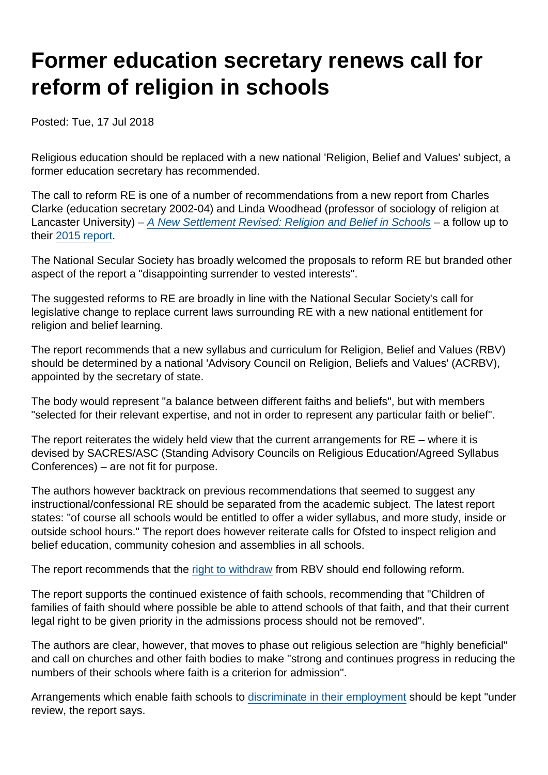# Former education secretary renews call for reform of religion in schools

Posted: Tue, 17 Jul 2018

Religious education should be replaced with a new national 'Religion, Belief and Values' subject, a former education secretary has recommended.

The call to reform RE is one of a number of recommendations from a new report from Charles Clarke (education secretary 2002-04) and Linda Woodhead (professor of sociology of religion at Lancaster University) – [A New Settlement Revised: Religion and Belief in Schools](http://faithdebates.org.uk/wp-content/uploads/2018/07/Clarke-Woodhead-A-New-Settlement-Revised.pdf) – a follow up to their [2015 report](http://faithdebates.org.uk/wp-content/uploads/2015/06/A-New-Settlement-for-Religion-and-Belief-in-schools.pdf).

The National Secular Society has broadly welcomed the proposals to reform RE but branded other aspect of the report a "disappointing surrender to vested interests".

The suggested reforms to RE are broadly in line with the National Secular Society's call for legislative change to replace current laws surrounding RE with a new national entitlement for religion and belief learning.

The report recommends that a new syllabus and curriculum for Religion, Belief and Values (RBV) should be determined by a national 'Advisory Council on Religion, Beliefs and Values' (ACRBV), appointed by the secretary of state.

The body would represent "a balance between different faiths and beliefs", but with members "selected for their relevant expertise, and not in order to represent any particular faith or belief".

The report reiterates the widely held view that the current arrangements for RE – where it is devised by SACRES/ASC (Standing Advisory Councils on Religious Education/Agreed Syllabus Conferences) – are not fit for purpose.

The authors however backtrack on previous recommendations that seemed to suggest any instructional/confessional RE should be separated from the academic subject. The latest report states: "of course all schools would be entitled to offer a wider syllabus, and more study, inside or outside school hours." The report does however reiterate calls for Ofsted to inspect religion and belief education, community cohesion and assemblies in all schools.

The report recommends that the [right to withdraw](https://www.secularism.org.uk/opinion/2018/04/the-row-over-right-of-withdrawal-highlights-the-need-to-reform-re) from RBV should end following reform.

The report supports the continued existence of faith schools, recommending that "Children of families of faith should where possible be able to attend schools of that faith, and that their current legal right to be given priority in the admissions process should not be removed".

The authors are clear, however, that moves to phase out religious selection are "highly beneficial" and call on churches and other faith bodies to make "strong and continues progress in reducing the numbers of their schools where faith is a criterion for admission".

Arrangements which enable faith schools to [discriminate in their employment](https://www.secularism.org.uk/faith-schools/end-employment-discrimination.html) should be kept "under review, the report says.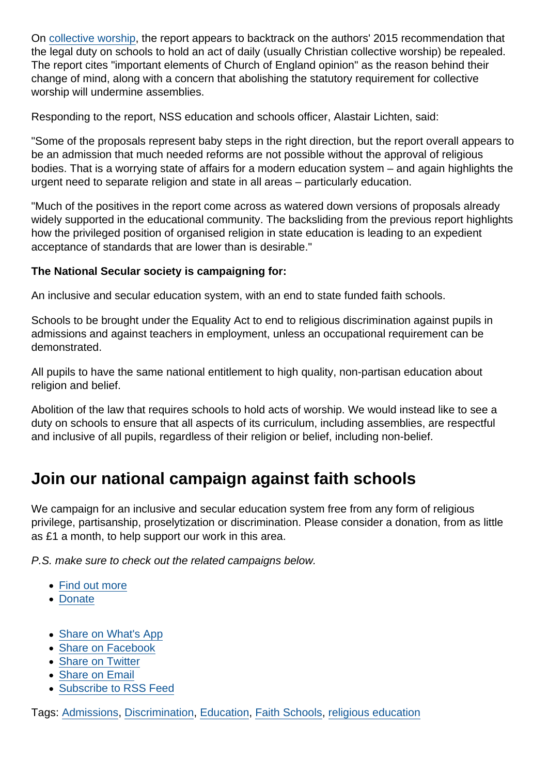On [collective worship](https://www.secularism.org.uk/end-compulsory-worship/), the report appears to backtrack on the authors' 2015 recommendation that the legal duty on schools to hold an act of daily (usually Christian collective worship) be repealed. The report cites "important elements of Church of England opinion" as the reason behind their change of mind, along with a concern that abolishing the statutory requirement for collective worship will undermine assemblies.

Responding to the report, NSS education and schools officer, Alastair Lichten, said:

"Some of the proposals represent baby steps in the right direction, but the report overall appears to be an admission that much needed reforms are not possible without the approval of religious bodies. That is a worrying state of affairs for a modern education system – and again highlights the urgent need to separate religion and state in all areas – particularly education.

"Much of the positives in the report come across as watered down versions of proposals already widely supported in the educational community. The backsliding from the previous report highlights how the privileged position of organised religion in state education is leading to an expedient acceptance of standards that are lower than is desirable."

The National Secular society is campaigning for:

An inclusive and secular education system, with an end to state funded faith schools.

Schools to be brought under the Equality Act to end to religious discrimination against pupils in admissions and against teachers in employment, unless an occupational requirement can be demonstrated.

All pupils to have the same national entitlement to high quality, non-partisan education about religion and belief.

Abolition of the law that requires schools to hold acts of worship. We would instead like to see a duty on schools to ensure that all aspects of its curriculum, including assemblies, are respectful and inclusive of all pupils, regardless of their religion or belief, including non-belief.

## Join our national campaign against faith schools

We campaign for an inclusive and secular education system free from any form of religious privilege, partisanship, proselytization or discrimination. Please consider a donation, from as little as £1 a month, to help support our work in this area.

P.S. make sure to check out the related campaigns below.

- [Find out more](https://www.secularism.org.uk/faith-schools/)
- [Donate](https://www.secularism.org.uk/donate.html)
- [Share on What's App](whatsapp://send?text=http://www.secularism.org.uk/news/2018/07/former-education-secretary-renews-call-for-reform-of-religion-in-schools?format=pdf)
- [Share on Facebook](https://www.facebook.com/sharer/sharer.php?u=http://www.secularism.org.uk/news/2018/07/former-education-secretary-renews-call-for-reform-of-religion-in-schools?format=pdf&t=Former+education+secretary+renews+call+for+reform+of+religion+in+schools)
- [Share on Twitter](https://twitter.com/intent/tweet?url=http://www.secularism.org.uk/news/2018/07/former-education-secretary-renews-call-for-reform-of-religion-in-schools?format=pdf&text=Former+education+secretary+renews+call+for+reform+of+religion+in+schools&via=NatSecSoc)
- [Share on Email](https://www.secularism.org.uk/share.html?url=http://www.secularism.org.uk/news/2018/07/former-education-secretary-renews-call-for-reform-of-religion-in-schools?format=pdf&title=Former+education+secretary+renews+call+for+reform+of+religion+in+schools)
- [Subscribe to RSS Feed](/mnt/web-data/www/cp-nss/feeds/rss/news)

Tags: [Admissions,](https://www.secularism.org.uk/news/tags/Admissions) [Discrimination,](https://www.secularism.org.uk/news/tags/Discrimination) [Education,](https://www.secularism.org.uk/news/tags/Education) [Faith Schools](https://www.secularism.org.uk/news/tags/Faith+Schools), [religious education](https://www.secularism.org.uk/news/tags/religious+education)